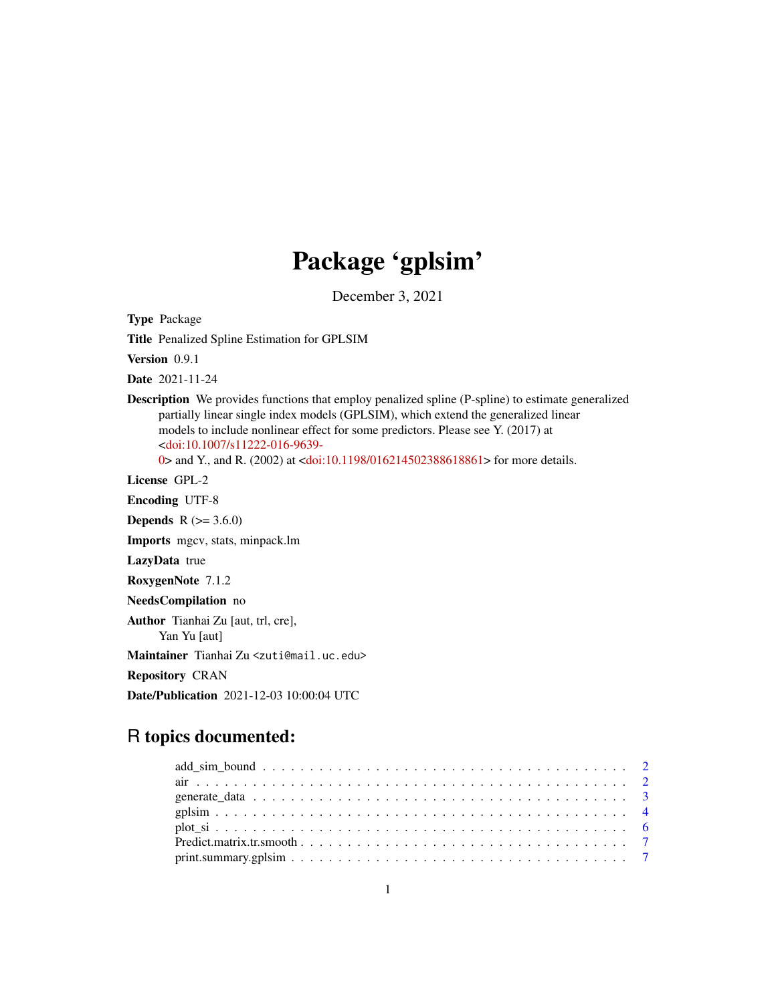# Package 'gplsim'

December 3, 2021

Type Package

Title Penalized Spline Estimation for GPLSIM

Version 0.9.1

Date 2021-11-24

Description We provides functions that employ penalized spline (P-spline) to estimate generalized partially linear single index models (GPLSIM), which extend the generalized linear models to include nonlinear effect for some predictors. Please see Y. (2017) at [<doi:10.1007/s11222-016-9639-](https://doi.org/10.1007/s11222-016-9639-0)

[0>](https://doi.org/10.1007/s11222-016-9639-0) and Y., and R. (2002) at [<doi:10.1198/016214502388618861>](https://doi.org/10.1198/016214502388618861) for more details.

License GPL-2

Encoding UTF-8

**Depends** R  $(>= 3.6.0)$ 

Imports mgcv, stats, minpack.lm

LazyData true

RoxygenNote 7.1.2

NeedsCompilation no

Author Tianhai Zu [aut, trl, cre],

Yan Yu [aut]

Maintainer Tianhai Zu <zuti@mail.uc.edu>

Repository CRAN

Date/Publication 2021-12-03 10:00:04 UTC

# R topics documented: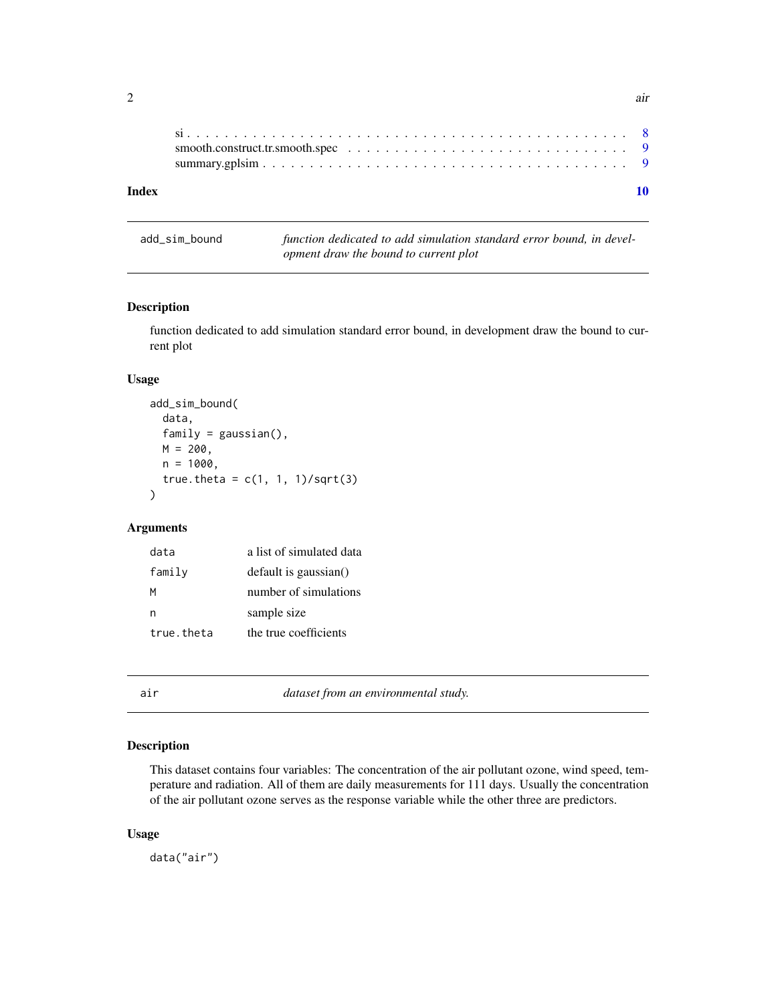<span id="page-1-0"></span>

| Index |  |
|-------|--|

| add_sim_bound | function dedicated to add simulation standard error bound, in devel- |  |  |
|---------------|----------------------------------------------------------------------|--|--|
|               | opment draw the bound to current plot                                |  |  |

#### Description

function dedicated to add simulation standard error bound, in development draw the bound to current plot

#### Usage

```
add_sim_bound(
  data,
  family = gaussian(),M = 200,n = 1000,true.theta = c(1, 1, 1)/sqrt(3))
```
# Arguments

| data       | a list of simulated data |
|------------|--------------------------|
| family     | default is gaussian()    |
| м          | number of simulations    |
| n          | sample size              |
| true.theta | the true coefficients    |

air *dataset from an environmental study.*

# Description

This dataset contains four variables: The concentration of the air pollutant ozone, wind speed, temperature and radiation. All of them are daily measurements for 111 days. Usually the concentration of the air pollutant ozone serves as the response variable while the other three are predictors.

#### Usage

data("air")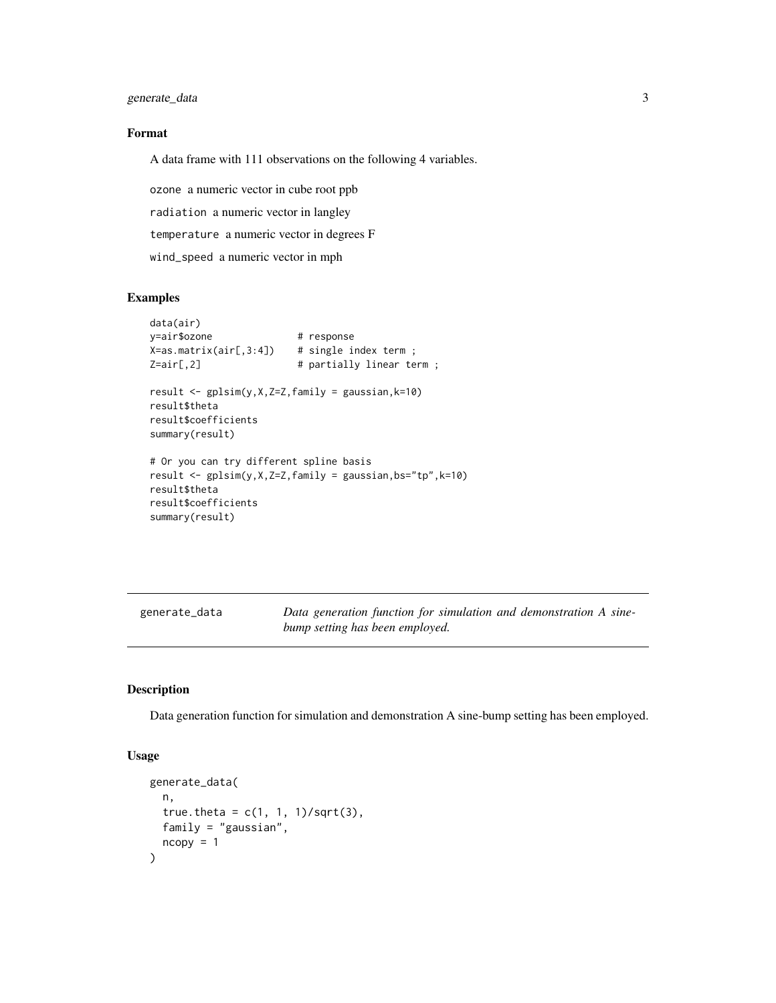<span id="page-2-0"></span>generate\_data 3

#### Format

A data frame with 111 observations on the following 4 variables.

ozone a numeric vector in cube root ppb

radiation a numeric vector in langley

temperature a numeric vector in degrees F

wind\_speed a numeric vector in mph

#### Examples

```
data(air)
y=air$ozone # response
X = as.matrix(air[, 3:4]) # single index term;
Z=air[, 2] # partially linear term;
result <- gplsim(y,X,Z=Z,family = gaussian,k=10)
result$theta
result$coefficients
summary(result)
# Or you can try different spline basis
result <- gplsim(y,X,Z=Z,family = gaussian,bs="tp",k=10)
result$theta
result$coefficients
summary(result)
```

| generate_data | Data generation function for simulation and demonstration A sine- |
|---------------|-------------------------------------------------------------------|
|               | bump setting has been employed.                                   |

# Description

Data generation function for simulation and demonstration A sine-bump setting has been employed.

#### Usage

```
generate_data(
 n,
 true.theta = c(1, 1, 1)/sqrt(3),
 family = "gaussian",
 ncopy = 1)
```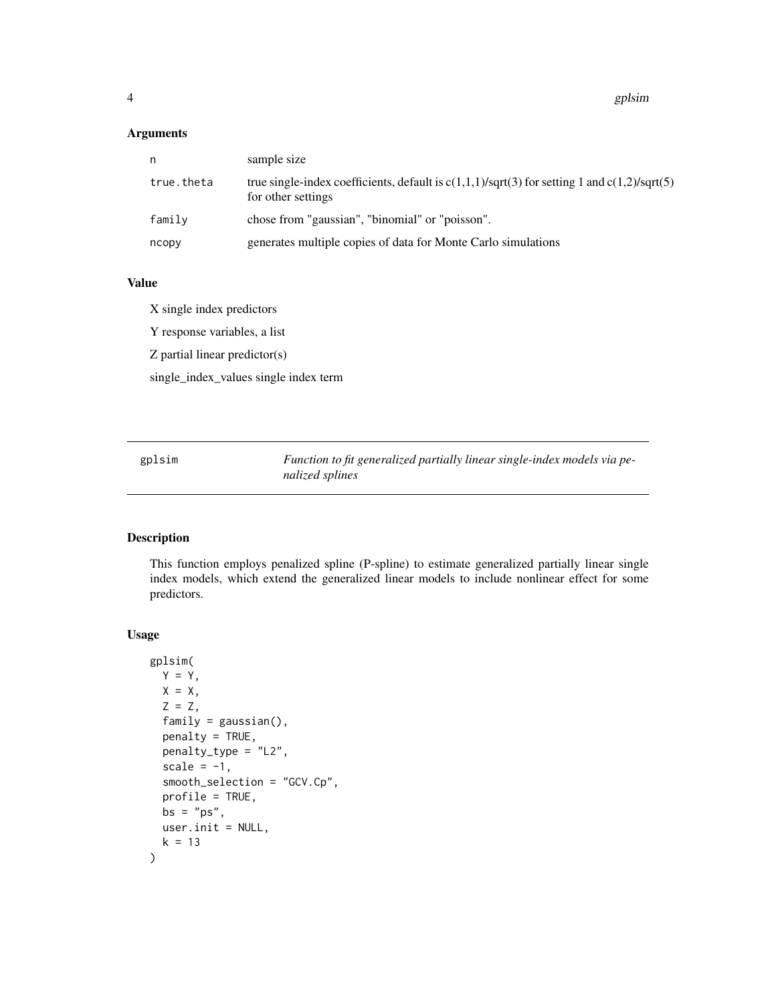# <span id="page-3-0"></span>Arguments

| n          | sample size                                                                                                            |
|------------|------------------------------------------------------------------------------------------------------------------------|
| true.theta | true single-index coefficients, default is $c(1,1,1)/sqrt(3)$ for setting 1 and $c(1,2)/sqrt(5)$<br>for other settings |
| family     | chose from "gaussian", "binomial" or "poisson".                                                                        |
| ncopy      | generates multiple copies of data for Monte Carlo simulations                                                          |

#### Value

X single index predictors Y response variables, a list Z partial linear predictor(s) single\_index\_values single index term

gplsim *Function to fit generalized partially linear single-index models via penalized splines*

# Description

This function employs penalized spline (P-spline) to estimate generalized partially linear single index models, which extend the generalized linear models to include nonlinear effect for some predictors.

# Usage

```
gplsim(
 Y = Y,
 X = X,
 Z = Z,
  family = gaussian(),
 penalty = TRUE,
 penalty_type = "L2",
  scale = -1,
  smooth_selection = "GCV.Cp",
 profile = TRUE,
 bs = "ps",user.init = NULL,
  k = 13\mathcal{E}
```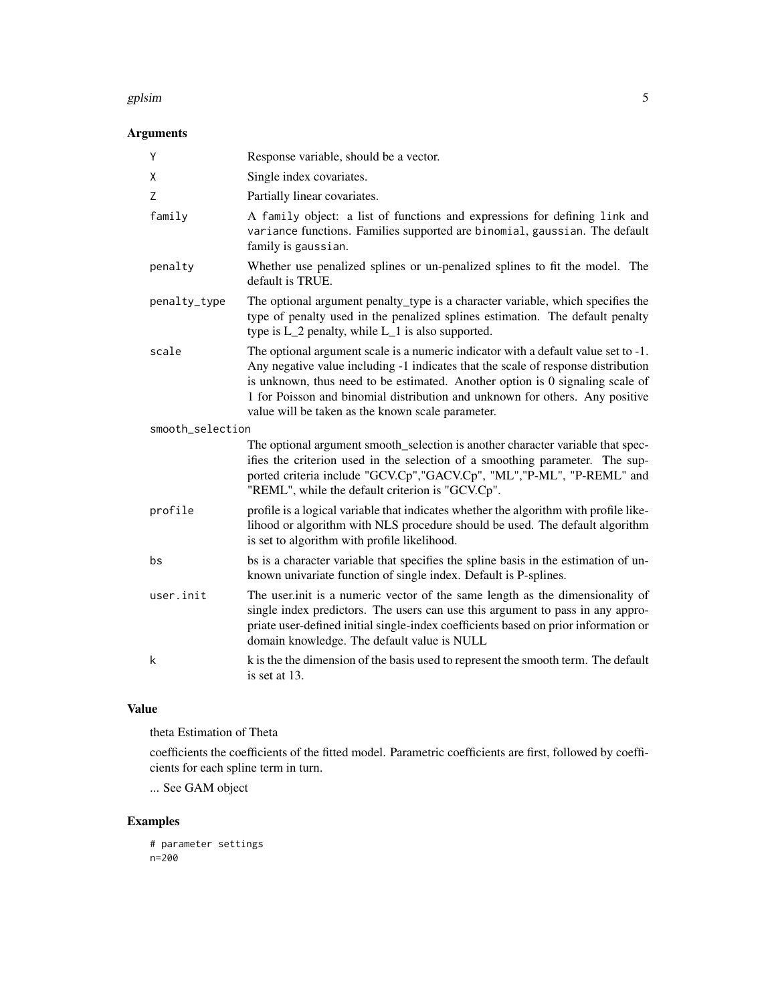#### gplsim to the set of the set of the set of the set of the set of the set of the set of the set of the set of the set of the set of the set of the set of the set of the set of the set of the set of the set of the set of the

# Arguments

| Y                | Response variable, should be a vector.                                                                                                                                                                                                                                                                                                                                                        |
|------------------|-----------------------------------------------------------------------------------------------------------------------------------------------------------------------------------------------------------------------------------------------------------------------------------------------------------------------------------------------------------------------------------------------|
| X                | Single index covariates.                                                                                                                                                                                                                                                                                                                                                                      |
| Z                | Partially linear covariates.                                                                                                                                                                                                                                                                                                                                                                  |
| family           | A family object: a list of functions and expressions for defining link and<br>variance functions. Families supported are binomial, gaussian. The default<br>family is gaussian.                                                                                                                                                                                                               |
| penalty          | Whether use penalized splines or un-penalized splines to fit the model. The<br>default is TRUE.                                                                                                                                                                                                                                                                                               |
| penalty_type     | The optional argument penalty_type is a character variable, which specifies the<br>type of penalty used in the penalized splines estimation. The default penalty<br>type is L_2 penalty, while L_1 is also supported.                                                                                                                                                                         |
| scale            | The optional argument scale is a numeric indicator with a default value set to -1.<br>Any negative value including -1 indicates that the scale of response distribution<br>is unknown, thus need to be estimated. Another option is 0 signaling scale of<br>1 for Poisson and binomial distribution and unknown for others. Any positive<br>value will be taken as the known scale parameter. |
| smooth_selection |                                                                                                                                                                                                                                                                                                                                                                                               |
|                  | The optional argument smooth_selection is another character variable that spec-<br>ifies the criterion used in the selection of a smoothing parameter. The sup-<br>ported criteria include "GCV.Cp", "GACV.Cp", "ML", "P-ML", "P-REML" and<br>"REML", while the default criterion is "GCV.Cp".                                                                                                |
| profile          | profile is a logical variable that indicates whether the algorithm with profile like-<br>lihood or algorithm with NLS procedure should be used. The default algorithm<br>is set to algorithm with profile likelihood.                                                                                                                                                                         |
| bs               | bs is a character variable that specifies the spline basis in the estimation of un-<br>known univariate function of single index. Default is P-splines.                                                                                                                                                                                                                                       |
| user.init        | The user init is a numeric vector of the same length as the dimensionality of<br>single index predictors. The users can use this argument to pass in any appro-<br>priate user-defined initial single-index coefficients based on prior information or<br>domain knowledge. The default value is NULL                                                                                         |
| k                | k is the the dimension of the basis used to represent the smooth term. The default<br>is set at 13.                                                                                                                                                                                                                                                                                           |

#### Value

theta Estimation of Theta

coefficients the coefficients of the fitted model. Parametric coefficients are first, followed by coefficients for each spline term in turn.

... See GAM object

# Examples

# parameter settings n=200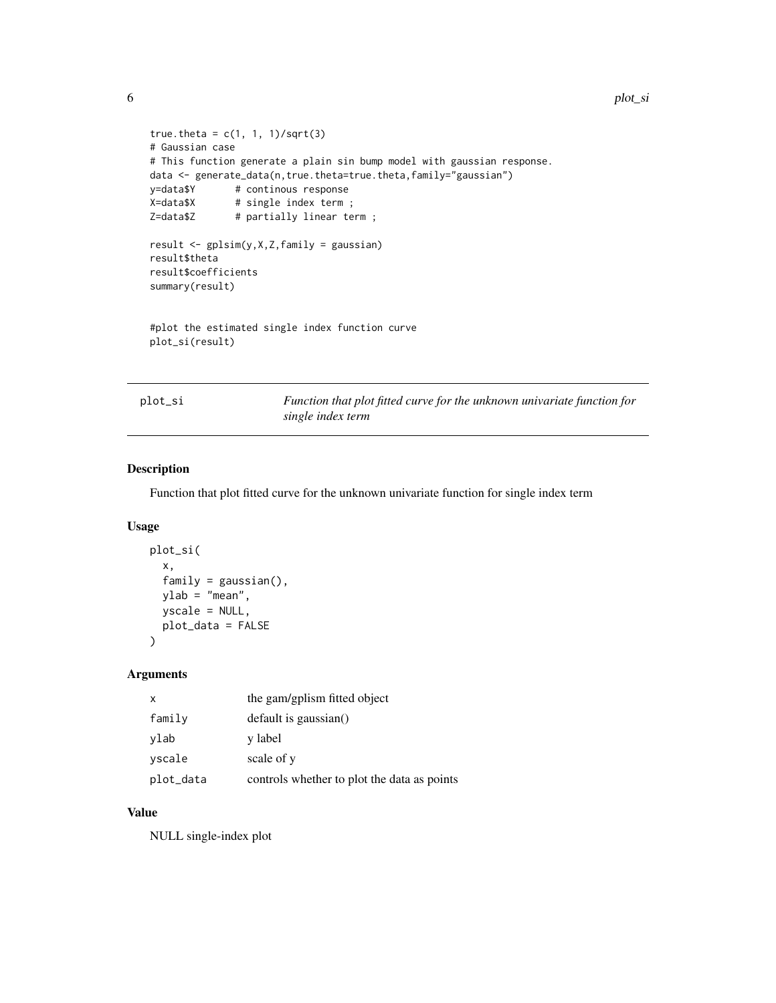```
6 plot_si
```

```
true.theta = c(1, 1, 1)/sqrt(3)# Gaussian case
# This function generate a plain sin bump model with gaussian response.
data <- generate_data(n,true.theta=true.theta,family="gaussian")
y=data$Y # continous response
X=data$X # single index term ;
Z=data$Z # partially linear term;
result <- gplsim(y,X,Z,family = gaussian)
result$theta
result$coefficients
summary(result)
#plot the estimated single index function curve
```

```
plot_si(result)
```

| DIOI |  |
|------|--|
|      |  |

Function that plot fitted curve for the unknown univariate function for *single index term*

#### Description

Function that plot fitted curve for the unknown univariate function for single index term

#### Usage

```
plot_si(
  x,
  family = gaussian(),
  ylab = "mean",
  yscale = NULL,
  plot_data = FALSE
\mathcal{E}
```
#### Arguments

| x         | the gam/gplism fitted object                |
|-----------|---------------------------------------------|
| family    | default is gaussian()                       |
| ylab      | y label                                     |
| vscale    | scale of y                                  |
| plot_data | controls whether to plot the data as points |

#### Value

NULL single-index plot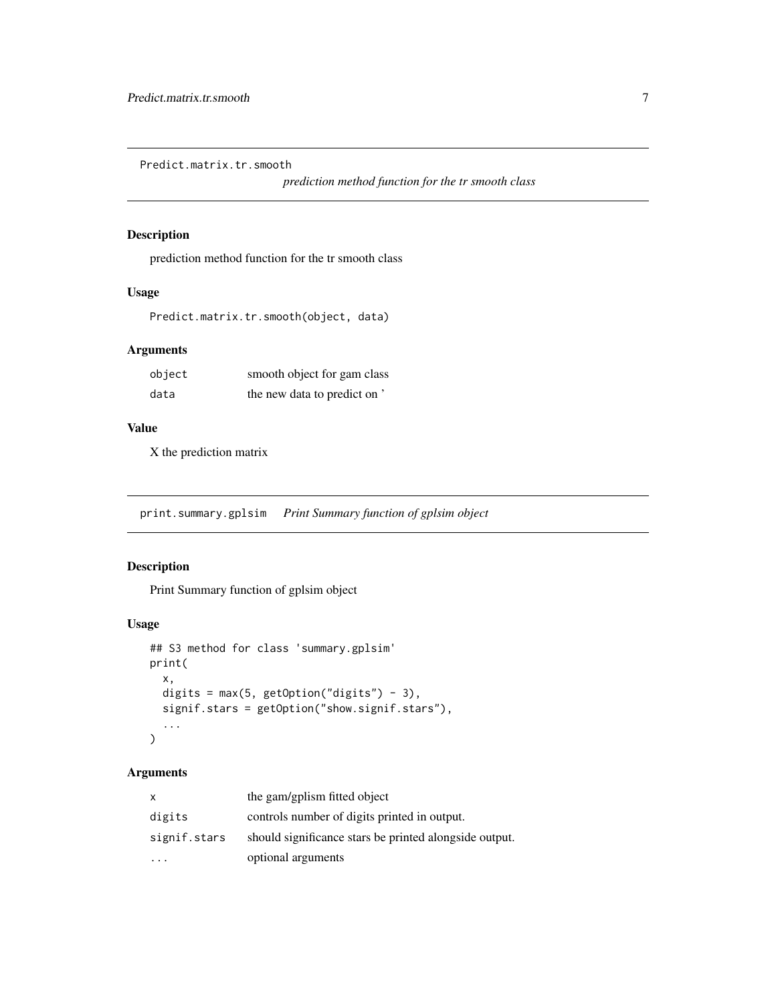<span id="page-6-0"></span>Predict.matrix.tr.smooth

*prediction method function for the tr smooth class*

# Description

prediction method function for the tr smooth class

# Usage

Predict.matrix.tr.smooth(object, data)

#### Arguments

| object | smooth object for gam class  |
|--------|------------------------------|
| data   | the new data to predict on ' |

#### Value

X the prediction matrix

print.summary.gplsim *Print Summary function of gplsim object*

#### Description

Print Summary function of gplsim object

#### Usage

```
## S3 method for class 'summary.gplsim'
print(
  x,
 digits = max(5, getOption("digits") - 3),signif.stars = getOption("show.signif.stars"),
  ...
\mathcal{L}
```
# Arguments

| x.           | the gam/gplism fitted object                           |
|--------------|--------------------------------------------------------|
| digits       | controls number of digits printed in output.           |
| signif.stars | should significance stars be printed alongside output. |
|              | optional arguments                                     |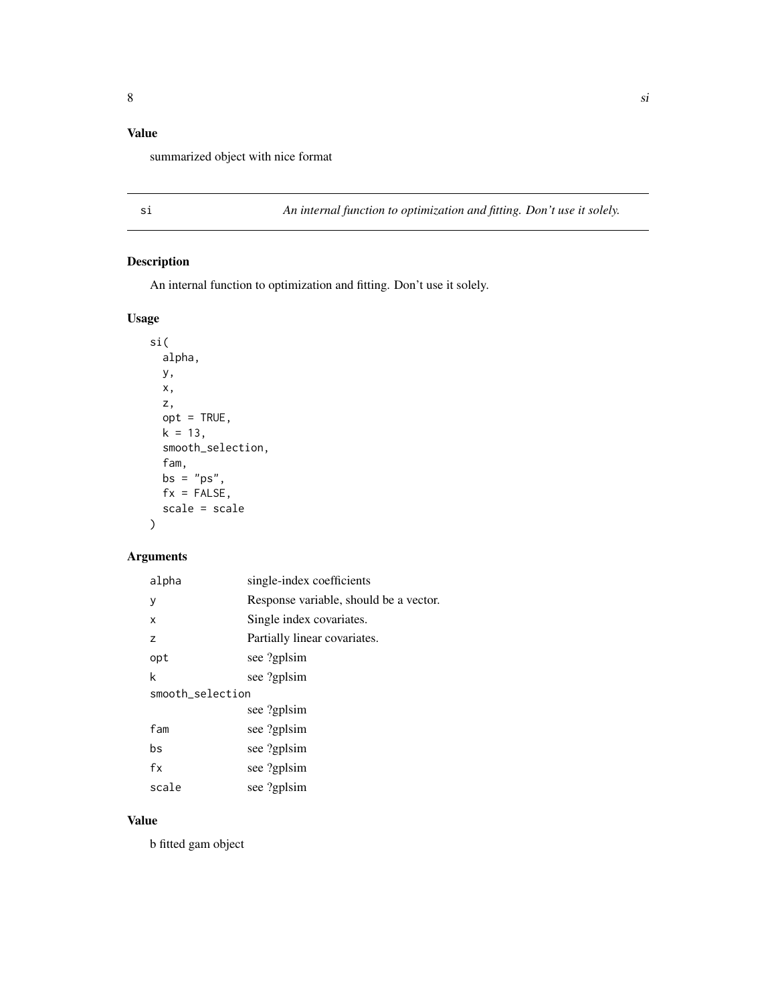# <span id="page-7-0"></span>Value

summarized object with nice format

si *An internal function to optimization and fitting. Don't use it solely.*

# Description

An internal function to optimization and fitting. Don't use it solely.

# Usage

```
si(
  alpha,
 y,
 x,
  z,
  opt = TRUE,k = 13,
  smooth_selection,
  fam,
 bs = "ps",fx = FALSE,scale = scale
```
# Arguments

)

| alpha            | single-index coefficients              |  |
|------------------|----------------------------------------|--|
| y                | Response variable, should be a vector. |  |
| X                | Single index covariates.               |  |
| Z                | Partially linear covariates.           |  |
| opt              | see ?gplsim                            |  |
| k                | see ?gplsim                            |  |
| smooth_selection |                                        |  |
|                  | see ?gplsim                            |  |
| fam              | see ?gplsim                            |  |
| bs               | see ?gplsim                            |  |
| fx               | see ?gplsim                            |  |
| scale            | see ?gplsim                            |  |

#### Value

b fitted gam object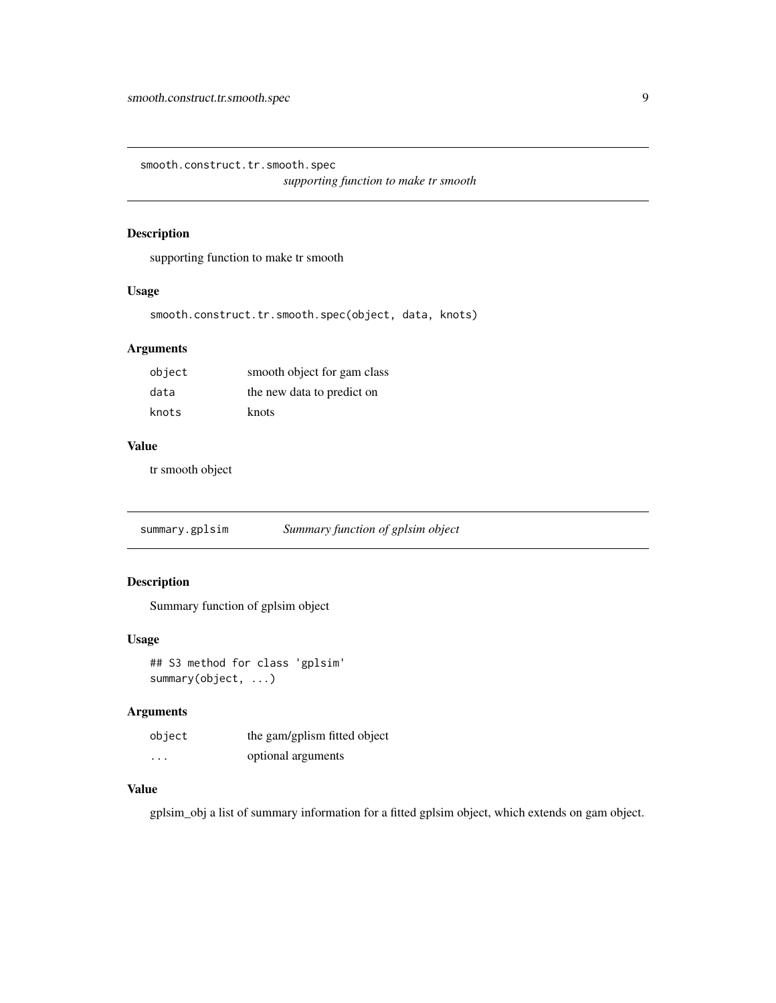<span id="page-8-0"></span>smooth.construct.tr.smooth.spec *supporting function to make tr smooth*

# Description

supporting function to make tr smooth

# Usage

smooth.construct.tr.smooth.spec(object, data, knots)

# Arguments

| object | smooth object for gam class |
|--------|-----------------------------|
| data   | the new data to predict on  |
| knots  | knots                       |

# Value

tr smooth object

summary.gplsim *Summary function of gplsim object*

# Description

Summary function of gplsim object

# Usage

```
## S3 method for class 'gplsim'
summary(object, ...)
```
#### Arguments

| object  | the gam/gplism fitted object |
|---------|------------------------------|
| $\cdot$ | optional arguments           |

# Value

gplsim\_obj a list of summary information for a fitted gplsim object, which extends on gam object.